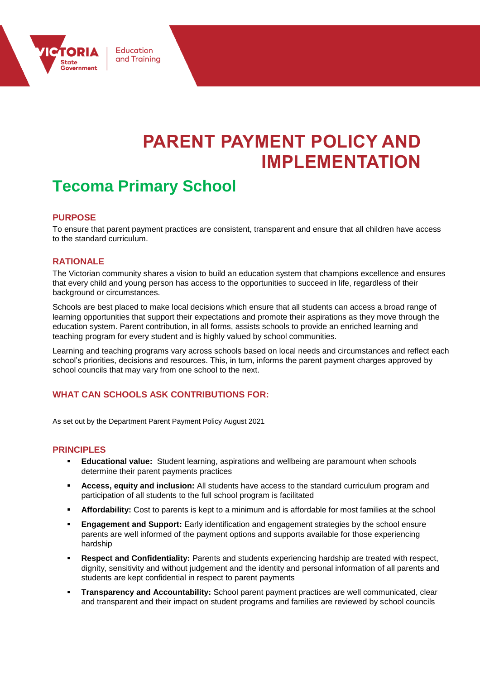

# **PARENT PAYMENT POLICY AND IMPLEMENTATION**

## **Tecoma Primary School**

Education and Training

#### **PURPOSE**

To ensure that parent payment practices are consistent, transparent and ensure that all children have access to the standard curriculum.

#### **RATIONALE**

The Victorian community shares a vision to build an education system that champions excellence and ensures that every child and young person has access to the opportunities to succeed in life, regardless of their background or circumstances.

Schools are best placed to make local decisions which ensure that all students can access a broad range of learning opportunities that support their expectations and promote their aspirations as they move through the education system. Parent contribution, in all forms, assists schools to provide an enriched learning and teaching program for every student and is highly valued by school communities.

Learning and teaching programs vary across schools based on local needs and circumstances and reflect each school's priorities, decisions and resources. This, in turn, informs the parent payment charges approved by school councils that may vary from one school to the next.

#### **WHAT CAN SCHOOLS ASK CONTRIBUTIONS FOR:**

As set out by the Department Parent Payment Policy August 2021

#### **PRINCIPLES**

- **Educational value:** Student learning, aspirations and wellbeing are paramount when schools determine their parent payments practices
- **EXECT** Access, equity and inclusion: All students have access to the standard curriculum program and participation of all students to the full school program is facilitated
- **EXECT Affordability:** Cost to parents is kept to a minimum and is affordable for most families at the school
- **Engagement and Support:** Early identification and engagement strategies by the school ensure parents are well informed of the payment options and supports available for those experiencing hardship
- **Example:** Respect and Confidentiality: Parents and students experiencing hardship are treated with respect, dignity, sensitivity and without judgement and the identity and personal information of all parents and students are kept confidential in respect to parent payments
- Transparency and Accountability: School parent payment practices are well communicated, clear and transparent and their impact on student programs and families are reviewed by school councils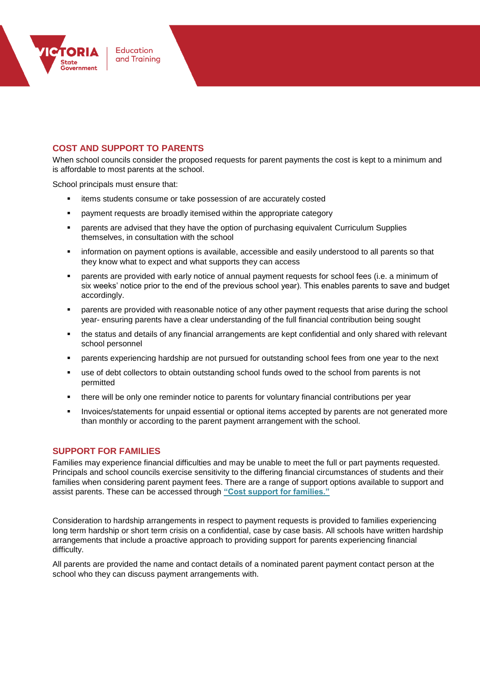

#### **COST AND SUPPORT TO PARENTS**

When school councils consider the proposed requests for parent payments the cost is kept to a minimum and is affordable to most parents at the school.

School principals must ensure that:

- **EXECT** items students consume or take possession of are accurately costed
- payment requests are broadly itemised within the appropriate category
- parents are advised that they have the option of purchasing equivalent Curriculum Supplies themselves, in consultation with the school
- information on payment options is available, accessible and easily understood to all parents so that they know what to expect and what supports they can access
- parents are provided with early notice of annual payment requests for school fees (i.e. a minimum of six weeks' notice prior to the end of the previous school year). This enables parents to save and budget accordingly.
- **•** parents are provided with reasonable notice of any other payment requests that arise during the school year- ensuring parents have a clear understanding of the full financial contribution being sought
- the status and details of any financial arrangements are kept confidential and only shared with relevant school personnel
- parents experiencing hardship are not pursued for outstanding school fees from one year to the next
- use of debt collectors to obtain outstanding school funds owed to the school from parents is not permitted
- there will be only one reminder notice to parents for voluntary financial contributions per year
- **Invoices/statements for unpaid essential or optional items accepted by parents are not generated more** than monthly or according to the parent payment arrangement with the school.

#### **SUPPORT FOR FAMILIES**

Families may experience financial difficulties and may be unable to meet the full or part payments requested. Principals and school councils exercise sensitivity to the differing financial circumstances of students and their families when considering parent payment fees. There are a range of support options available to support and assist parents. These can be accessed through **["Cost support for families."](http://www.education.vic.gov.au/Documents/school/principals/spag/management/PP_Costsupportforfamilies.docx)**

Consideration to hardship arrangements in respect to payment requests is provided to families experiencing long term hardship or short term crisis on a confidential, case by case basis. All schools have written hardship arrangements that include a proactive approach to providing support for parents experiencing financial difficulty.

All parents are provided the name and contact details of a nominated parent payment contact person at the school who they can discuss payment arrangements with.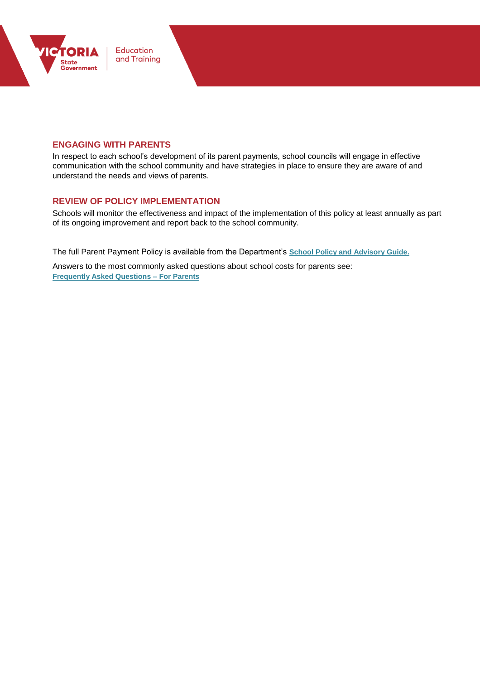

#### **ENGAGING WITH PARENTS**

In respect to each school's development of its parent payments, school councils will engage in effective communication with the school community and have strategies in place to ensure they are aware of and understand the needs and views of parents.

#### **REVIEW OF POLICY IMPLEMENTATION**

Schools will monitor the effectiveness and impact of the implementation of this policy at least annually as part of its ongoing improvement and report back to the school community.

The full Parent Payment Policy is available from the Department's **[School Policy and Advisory Guide.](http://www.education.vic.gov.au/school/principals/spag/management/pages/parentpayments.aspx)**

Answers to the most commonly asked questions about school costs for parents see: **[Frequently Asked Questions –](http://www.education.vic.gov.au/Documents/school/principals/spag/management/PP_FAQforparents.docx) For Parents**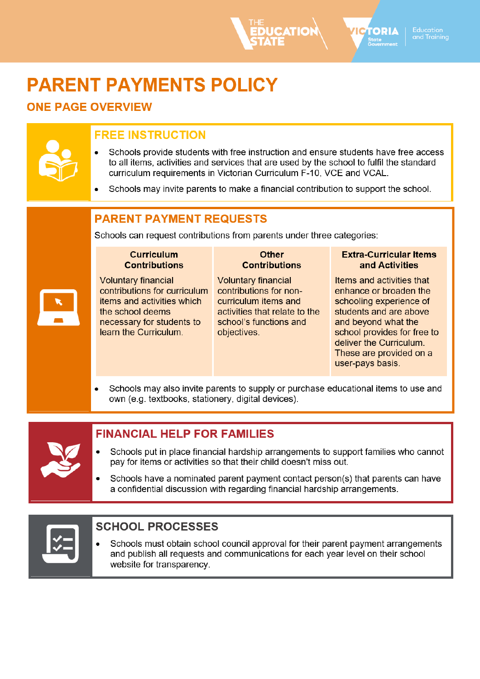# **PARENT PAYMENTS POLICY**

### **ONE PAGE OVERVIEW**

## **FREE INSTRUCTION**

- Schools provide students with free instruction and ensure students have free access to all items, activities and services that are used by the school to fulfil the standard curriculum requirements in Victorian Curriculum F-10, VCE and VCAL.
- Schools may invite parents to make a financial contribution to support the school.

## **PARENT PAYMENT REQUESTS**

Schools can request contributions from parents under three categories:

#### **Curriculum Contributions**

**Voluntary financial** contributions for curriculum items and activities which the school deems necessary for students to learn the Curriculum.

#### **Other Contributions**

**Voluntary financial** contributions for noncurriculum items and activities that relate to the school's functions and objectives.

#### **Extra-Curricular Items** and Activities

TORIA

and Trainina

Items and activities that enhance or broaden the schooling experience of students and are above and beyond what the school provides for free to deliver the Curriculum. These are provided on a user-pays basis.

Schools may also invite parents to supply or purchase educational items to use and own (e.g. textbooks, stationery, digital devices).

### **FINANCIAL HELP FOR FAMILIES**

- Schools put in place financial hardship arrangements to support families who cannot pay for items or activities so that their child doesn't miss out.
- Schools have a nominated parent payment contact person(s) that parents can have a confidential discussion with regarding financial hardship arrangements.



### **SCHOOL PROCESSES**

Schools must obtain school council approval for their parent payment arrangements and publish all requests and communications for each year level on their school website for transparency.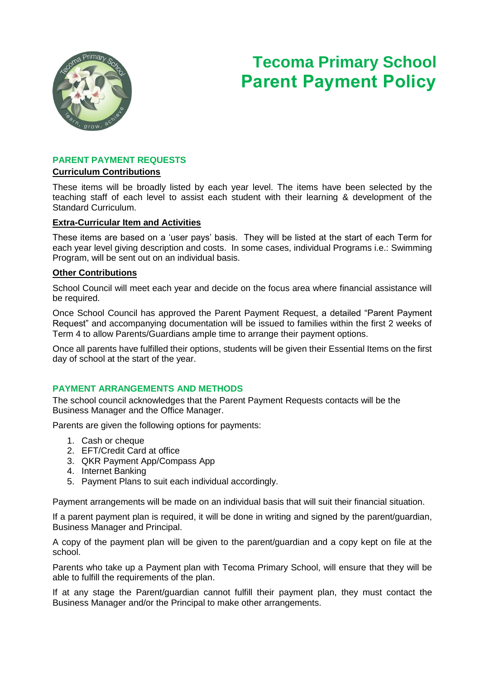

## **Tecoma Primary School Parent Payment Policy**

#### **PARENT PAYMENT REQUESTS**

#### **Curriculum Contributions**

These items will be broadly listed by each year level. The items have been selected by the teaching staff of each level to assist each student with their learning & development of the Standard Curriculum.

#### **Extra-Curricular Item and Activities**

These items are based on a 'user pays' basis. They will be listed at the start of each Term for each year level giving description and costs. In some cases, individual Programs i.e.: Swimming Program, will be sent out on an individual basis.

#### **Other Contributions**

School Council will meet each year and decide on the focus area where financial assistance will be required.

Once School Council has approved the Parent Payment Request, a detailed "Parent Payment Request" and accompanying documentation will be issued to families within the first 2 weeks of Term 4 to allow Parents/Guardians ample time to arrange their payment options.

Once all parents have fulfilled their options, students will be given their Essential Items on the first day of school at the start of the year.

#### **PAYMENT ARRANGEMENTS AND METHODS**

The school council acknowledges that the Parent Payment Requests contacts will be the Business Manager and the Office Manager.

Parents are given the following options for payments:

- 1. Cash or cheque
- 2. EFT/Credit Card at office
- 3. QKR Payment App/Compass App
- 4. Internet Banking
- 5. Payment Plans to suit each individual accordingly.

Payment arrangements will be made on an individual basis that will suit their financial situation.

If a parent payment plan is required, it will be done in writing and signed by the parent/guardian, Business Manager and Principal.

A copy of the payment plan will be given to the parent/guardian and a copy kept on file at the school.

Parents who take up a Payment plan with Tecoma Primary School, will ensure that they will be able to fulfill the requirements of the plan.

If at any stage the Parent/guardian cannot fulfill their payment plan, they must contact the Business Manager and/or the Principal to make other arrangements.